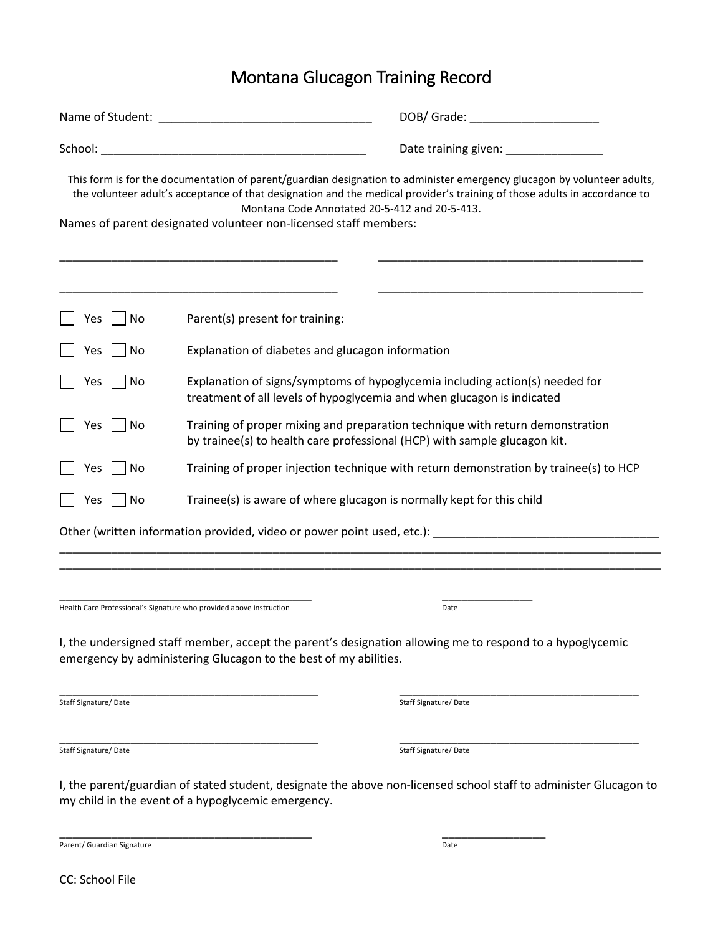## Montana Glucagon Training Record

|                      | DOB/ Grade: New York DOB/ Grade:                                                                                                                                                                                                                                                                                                                                          |
|----------------------|---------------------------------------------------------------------------------------------------------------------------------------------------------------------------------------------------------------------------------------------------------------------------------------------------------------------------------------------------------------------------|
|                      |                                                                                                                                                                                                                                                                                                                                                                           |
|                      | This form is for the documentation of parent/guardian designation to administer emergency glucagon by volunteer adults,<br>the volunteer adult's acceptance of that designation and the medical provider's training of those adults in accordance to<br>Montana Code Annotated 20-5-412 and 20-5-413.<br>Names of parent designated volunteer non-licensed staff members: |
| Yes<br>No            | Parent(s) present for training:                                                                                                                                                                                                                                                                                                                                           |
| Yes<br>No            | Explanation of diabetes and glucagon information                                                                                                                                                                                                                                                                                                                          |
| No<br>Yes            | Explanation of signs/symptoms of hypoglycemia including action(s) needed for<br>treatment of all levels of hypoglycemia and when glucagon is indicated                                                                                                                                                                                                                    |
| Yes<br>No            | Training of proper mixing and preparation technique with return demonstration<br>by trainee(s) to health care professional (HCP) with sample glucagon kit.                                                                                                                                                                                                                |
| No<br>Yes            | Training of proper injection technique with return demonstration by trainee(s) to HCP                                                                                                                                                                                                                                                                                     |
| No<br>Yes            | Trainee(s) is aware of where glucagon is normally kept for this child                                                                                                                                                                                                                                                                                                     |
|                      | Other (written information provided, video or power point used, etc.): _____________________________                                                                                                                                                                                                                                                                      |
|                      |                                                                                                                                                                                                                                                                                                                                                                           |
|                      | Health Care Professional's Signature who provided above instruction<br>Date                                                                                                                                                                                                                                                                                               |
|                      | I, the undersigned staff member, accept the parent's designation allowing me to respond to a hypoglycemic<br>emergency by administering Glucagon to the best of my abilities.                                                                                                                                                                                             |
| Staff Signature/Date | Staff Signature/Date                                                                                                                                                                                                                                                                                                                                                      |
| Staff Signature/Date | Staff Signature/Date                                                                                                                                                                                                                                                                                                                                                      |
|                      | I, the parent/guardian of stated student, designate the above non-licensed school staff to administer Glucagon to<br>my child in the event of a hypoglycemic emergency.                                                                                                                                                                                                   |

\_\_\_\_\_\_\_\_\_\_\_\_\_\_\_\_\_\_\_\_\_\_\_\_\_\_\_\_\_\_\_\_\_\_\_\_\_\_\_ \_\_\_\_\_\_\_\_\_\_\_\_\_\_\_\_

Parent/ Guardian Signature Date

CC: School File